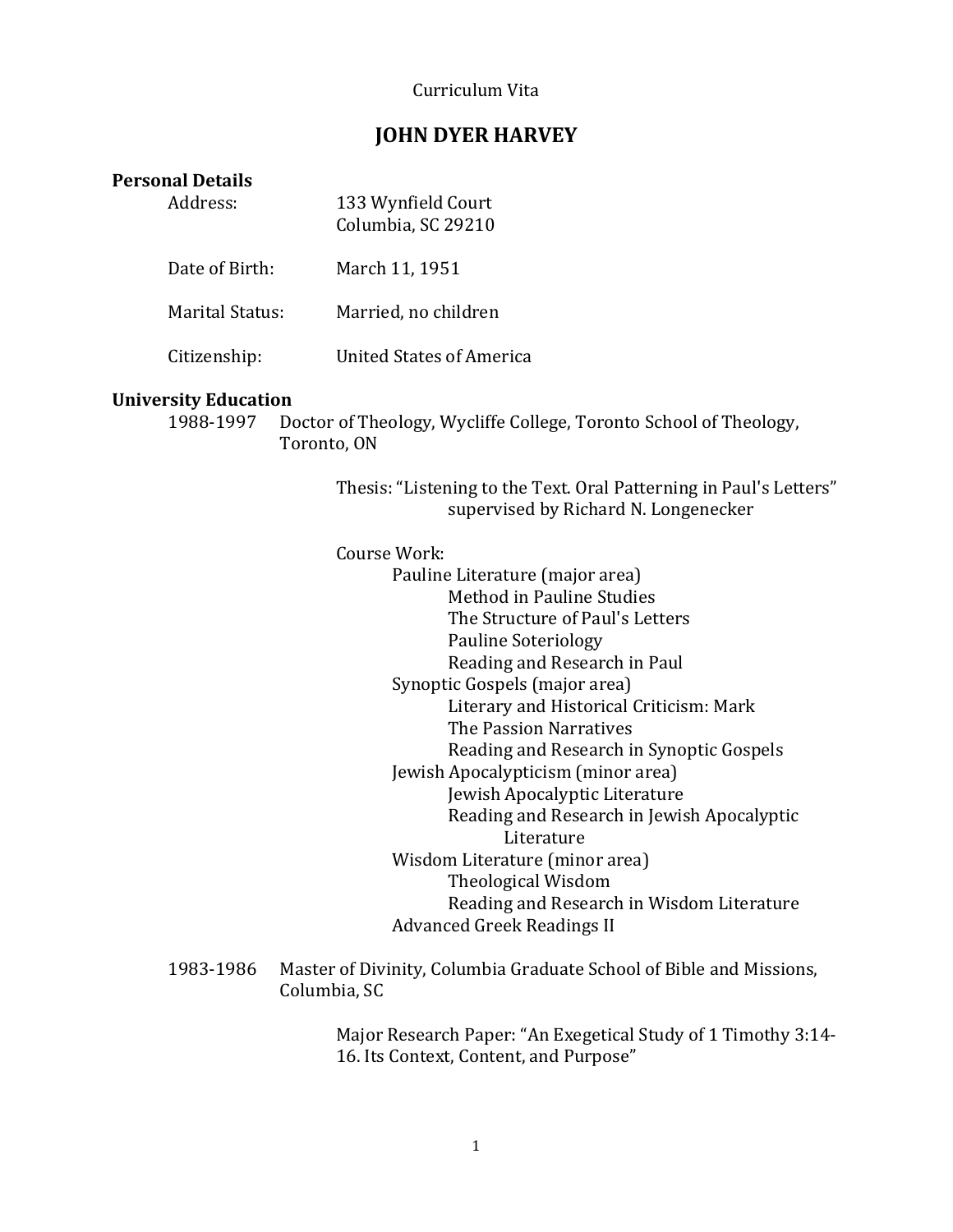### Curriculum Vita

# **JOHN DYER HARVEY**

## **Personal Details**

| Address:               | 133 Wynfield Court<br>Columbia, SC 29210 |
|------------------------|------------------------------------------|
| Date of Birth:         | March 11, 1951                           |
| <b>Marital Status:</b> | Married, no children                     |
| Citizenship:           | United States of America                 |

#### **University Education**

1988-1997 Doctor of Theology, Wycliffe College, Toronto School of Theology, Toronto, ON

> Thesis: "Listening to the Text. Oral Patterning in Paul's Letters" supervised by Richard N. Longenecker

### Course Work:

- Pauline Literature (major area) Method in Pauline Studies The Structure of Paul's Letters Pauline Soteriology Reading and Research in Paul Synoptic Gospels (major area) Literary and Historical Criticism: Mark The Passion Narratives Reading and Research in Synoptic Gospels Jewish Apocalypticism (minor area) Jewish Apocalyptic Literature Reading and Research in Jewish Apocalyptic Literature Wisdom Literature (minor area) Theological Wisdom Reading and Research in Wisdom Literature Advanced Greek Readings II
- 1983-1986 Master of Divinity, Columbia Graduate School of Bible and Missions, Columbia, SC

Major Research Paper: "An Exegetical Study of 1 Timothy 3:14- 16. Its Context, Content, and Purpose"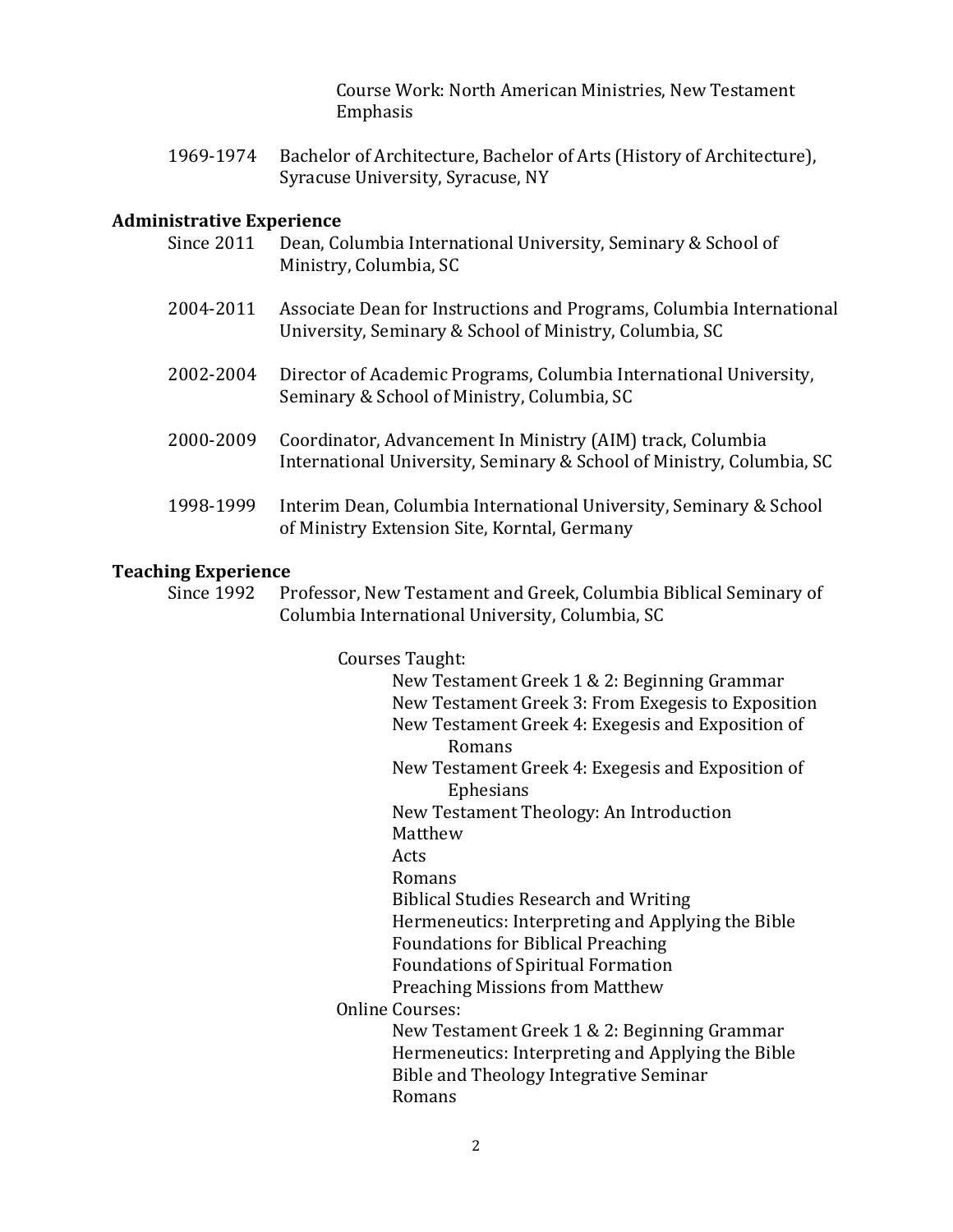Course Work: North American Ministries, New Testament Emphasis

1969-1974 Bachelor of Architecture, Bachelor of Arts (History of Architecture), Syracuse University, Syracuse, NY

## **Administrative Experience**

| <b>Since 2011</b> | Dean, Columbia International University, Seminary & School of<br>Ministry, Columbia, SC                                             |
|-------------------|-------------------------------------------------------------------------------------------------------------------------------------|
| 2004-2011         | Associate Dean for Instructions and Programs, Columbia International<br>University, Seminary & School of Ministry, Columbia, SC     |
| 2002-2004         | Director of Academic Programs, Columbia International University,<br>Seminary & School of Ministry, Columbia, SC                    |
| 2000-2009         | Coordinator, Advancement In Ministry (AIM) track, Columbia<br>International University, Seminary & School of Ministry, Columbia, SC |
| 1998-1999         | Interim Dean, Columbia International University, Seminary & School<br>of Ministry Extension Site, Korntal, Germany                  |

## **Teaching Experience**

Since 1992 Professor, New Testament and Greek, Columbia Biblical Seminary of Columbia International University, Columbia, SC

> Courses Taught: New Testament Greek 1 & 2: Beginning Grammar New Testament Greek 3: From Exegesis to Exposition New Testament Greek 4: Exegesis and Exposition of Romans New Testament Greek 4: Exegesis and Exposition of Ephesians New Testament Theology: An Introduction Matthew Acts Romans Biblical Studies Research and Writing Hermeneutics: Interpreting and Applying the Bible Foundations for Biblical Preaching Foundations of Spiritual Formation Preaching Missions from Matthew Online Courses: New Testament Greek 1 & 2: Beginning Grammar Hermeneutics: Interpreting and Applying the Bible Bible and Theology Integrative Seminar Romans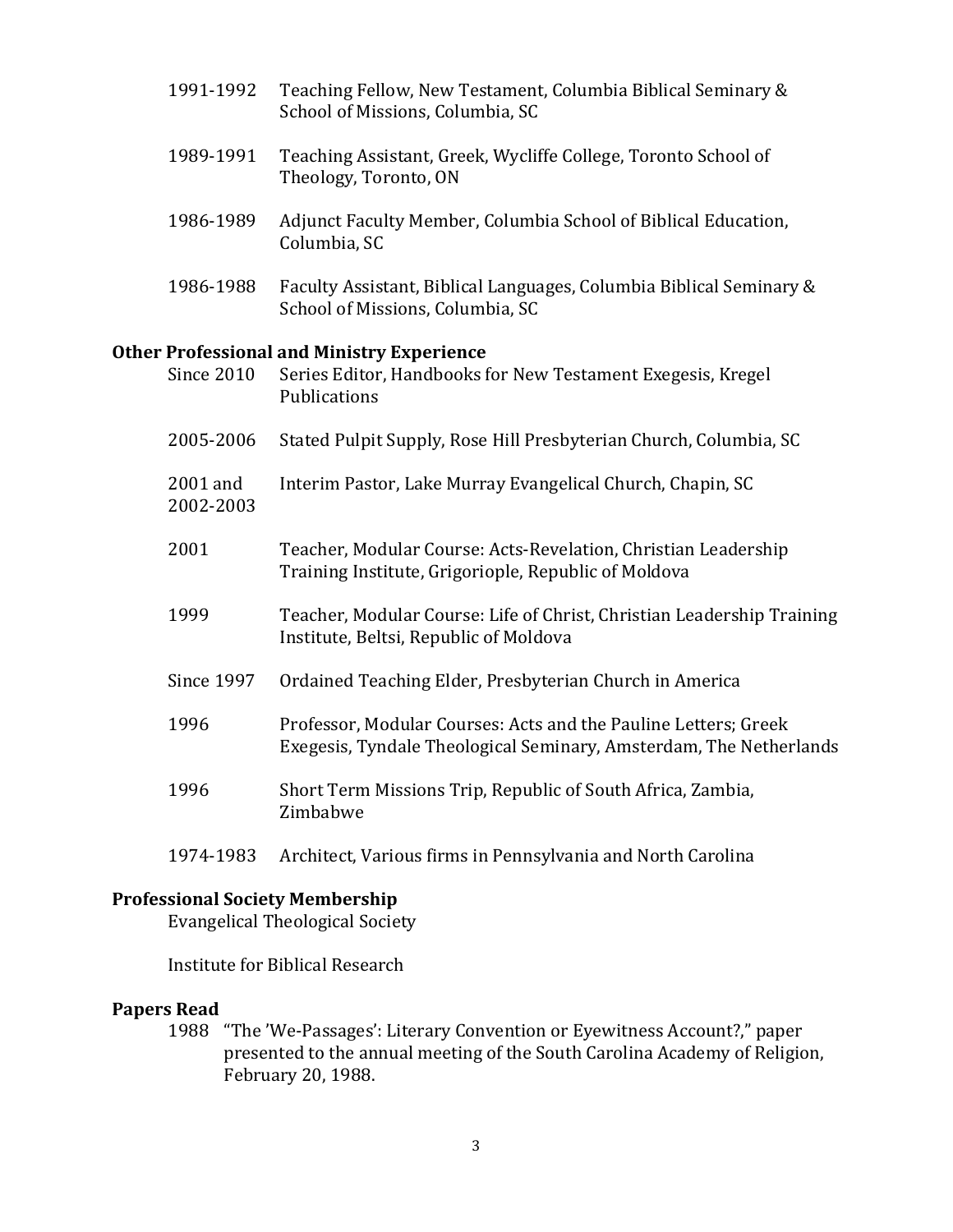- 1991-1992 Teaching Fellow, New Testament, Columbia Biblical Seminary & School of Missions, Columbia, SC
- 1989-1991 Teaching Assistant, Greek, Wycliffe College, Toronto School of Theology, Toronto, ON
- 1986-1989 Adjunct Faculty Member, Columbia School of Biblical Education, Columbia, SC
- 1986-1988 Faculty Assistant, Biblical Languages, Columbia Biblical Seminary & School of Missions, Columbia, SC

## **Other Professional and Ministry Experience**

| <b>Since 2010</b>     | Series Editor, Handbooks for New Testament Exegesis, Kregel<br>Publications                                                           |
|-----------------------|---------------------------------------------------------------------------------------------------------------------------------------|
| 2005-2006             | Stated Pulpit Supply, Rose Hill Presbyterian Church, Columbia, SC                                                                     |
| 2001 and<br>2002-2003 | Interim Pastor, Lake Murray Evangelical Church, Chapin, SC                                                                            |
| 2001                  | Teacher, Modular Course: Acts-Revelation, Christian Leadership<br>Training Institute, Grigoriople, Republic of Moldova                |
| 1999                  | Teacher, Modular Course: Life of Christ, Christian Leadership Training<br>Institute, Beltsi, Republic of Moldova                      |
| <b>Since 1997</b>     | Ordained Teaching Elder, Presbyterian Church in America                                                                               |
| 1996                  | Professor, Modular Courses: Acts and the Pauline Letters; Greek<br>Exegesis, Tyndale Theological Seminary, Amsterdam, The Netherlands |
| 1996                  | Short Term Missions Trip, Republic of South Africa, Zambia,<br>Zimbabwe                                                               |
|                       |                                                                                                                                       |

1974-1983 Architect, Various firms in Pennsylvania and North Carolina

## **Professional Society Membership**

Evangelical Theological Society

Institute for Biblical Research

### **Papers Read**

1988 "The 'We-Passages': Literary Convention or Eyewitness Account?," paper presented to the annual meeting of the South Carolina Academy of Religion, February 20, 1988.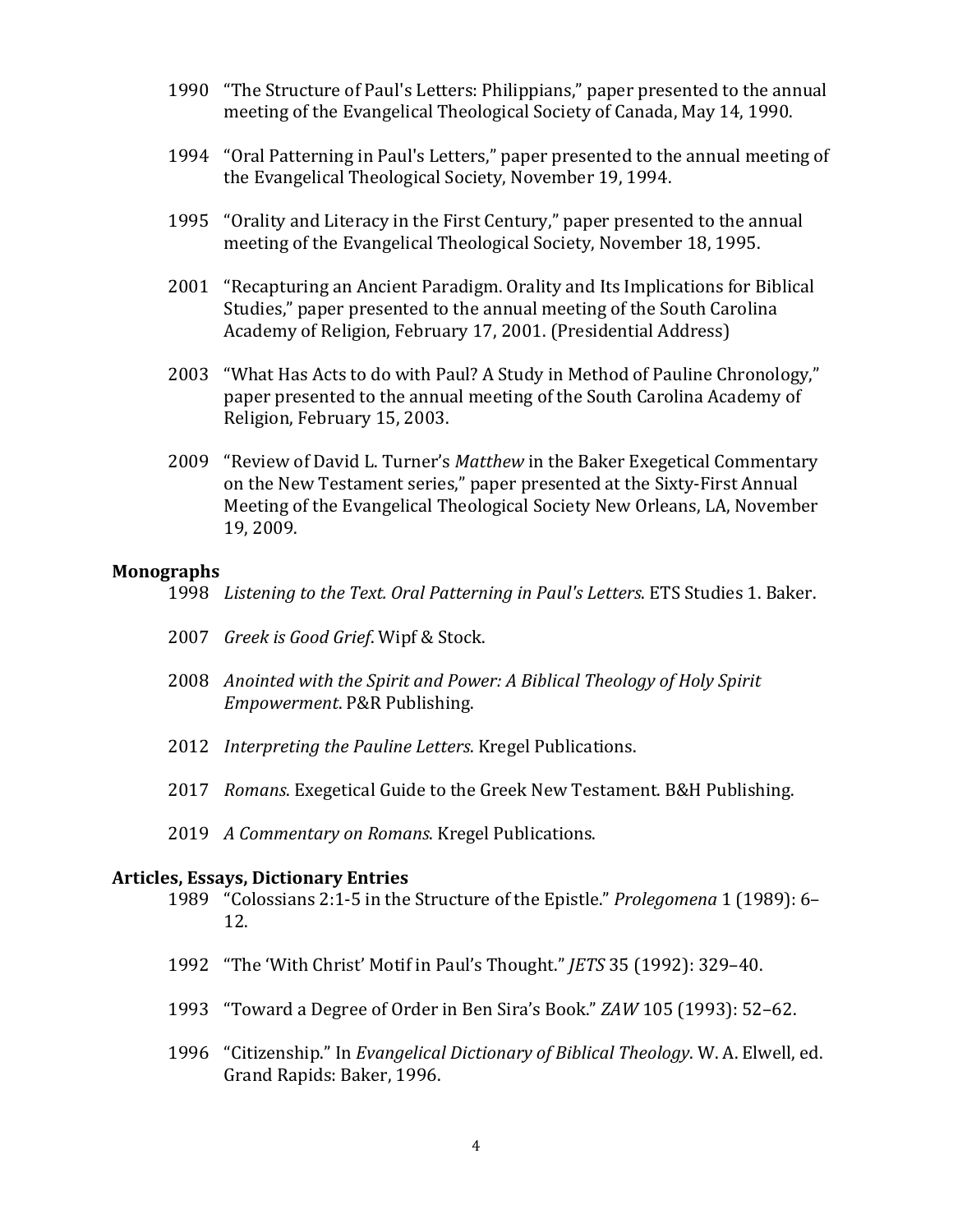- 1990 "The Structure of Paul's Letters: Philippians," paper presented to the annual meeting of the Evangelical Theological Society of Canada, May 14, 1990.
- 1994 "Oral Patterning in Paul's Letters," paper presented to the annual meeting of the Evangelical Theological Society, November 19, 1994.
- 1995 "Orality and Literacy in the First Century," paper presented to the annual meeting of the Evangelical Theological Society, November 18, 1995.
- 2001 "Recapturing an Ancient Paradigm. Orality and Its Implications for Biblical Studies," paper presented to the annual meeting of the South Carolina Academy of Religion, February 17, 2001. (Presidential Address)
- 2003 "What Has Acts to do with Paul? A Study in Method of Pauline Chronology," paper presented to the annual meeting of the South Carolina Academy of Religion, February 15, 2003.
- 2009 "Review of David L. Turner's *Matthew* in the Baker Exegetical Commentary on the New Testament series," paper presented at the Sixty-First Annual Meeting of the Evangelical Theological Society New Orleans, LA, November 19, 2009.

### **Monographs**

- 1998 *Listening to the Text. Oral Patterning in Paul's Letters*. ETS Studies 1. Baker.
- 2007 *Greek is Good Grief*. Wipf & Stock.
- 2008 *Anointed with the Spirit and Power: A Biblical Theology of Holy Spirit Empowerment*. P&R Publishing.
- 2012 *Interpreting the Pauline Letters*. Kregel Publications.
- 2017 *Romans*. Exegetical Guide to the Greek New Testament. B&H Publishing.
- 2019 *A Commentary on Romans*. Kregel Publications.

#### **Articles, Essays, Dictionary Entries**

- 1989 "Colossians 2:1-5 in the Structure of the Epistle." *Prolegomena* 1 (1989): 6– 12.
- 1992 "The 'With Christ' Motif in Paul's Thought." *JETS* 35 (1992): 329–40.
- 1993 "Toward a Degree of Order in Ben Sira's Book." *ZAW* 105 (1993): 52–62.
- 1996 "Citizenship." In *Evangelical Dictionary of Biblical Theology*. W. A. Elwell, ed. Grand Rapids: Baker, 1996.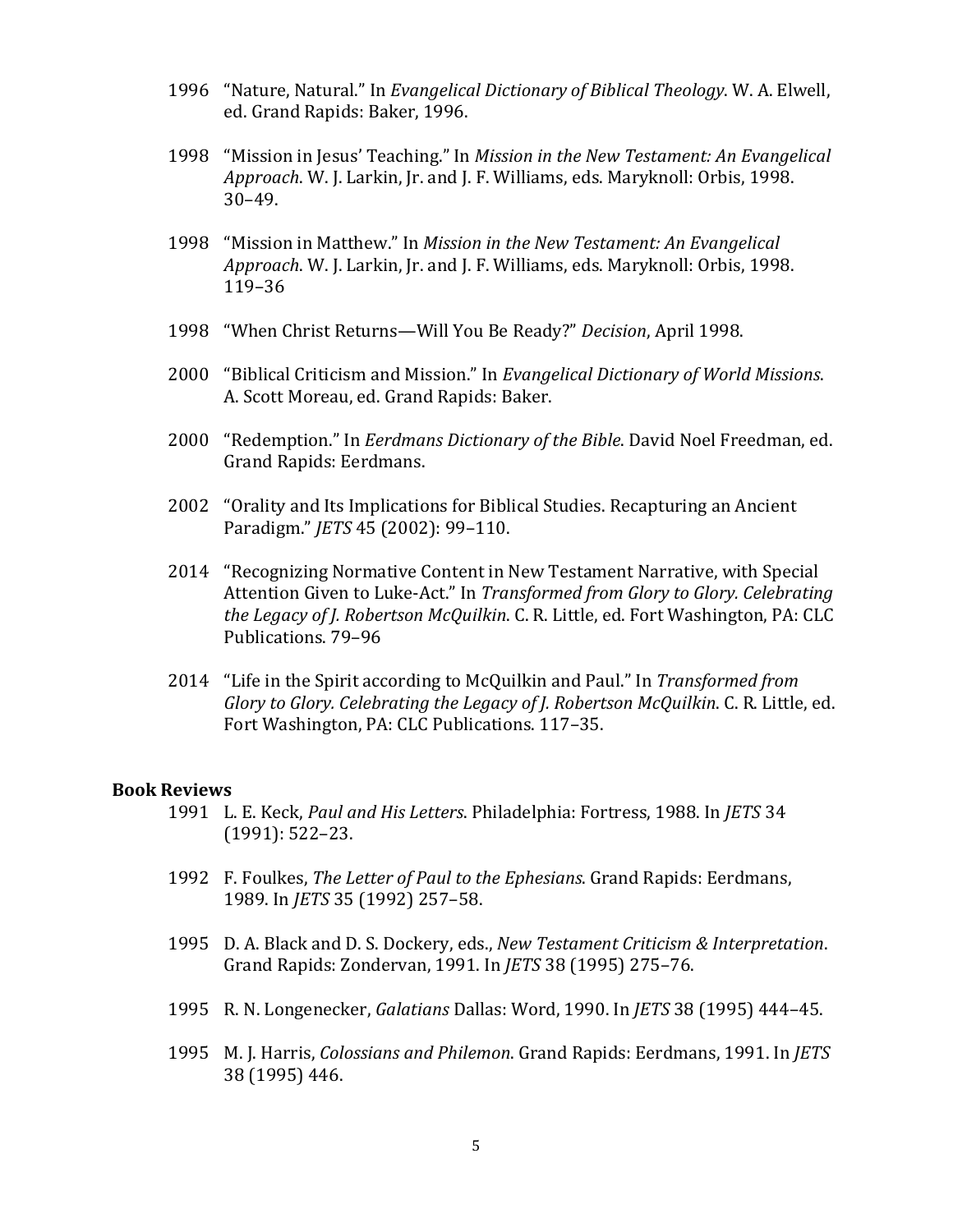- 1996 "Nature, Natural." In *Evangelical Dictionary of Biblical Theology*. W. A. Elwell, ed. Grand Rapids: Baker, 1996.
- 1998 "Mission in Jesus' Teaching." In *Mission in the New Testament: An Evangelical Approach*. W. J. Larkin, Jr. and J. F. Williams, eds. Maryknoll: Orbis, 1998. 30–49.
- 1998 "Mission in Matthew." In *Mission in the New Testament: An Evangelical Approach*. W. J. Larkin, Jr. and J. F. Williams, eds. Maryknoll: Orbis, 1998. 119–36
- 1998 "When Christ Returns—Will You Be Ready?" *Decision*, April 1998.
- 2000 "Biblical Criticism and Mission." In *Evangelical Dictionary of World Missions*. A. Scott Moreau, ed. Grand Rapids: Baker.
- 2000 "Redemption." In *Eerdmans Dictionary of the Bible*. David Noel Freedman, ed. Grand Rapids: Eerdmans.
- 2002 "Orality and Its Implications for Biblical Studies. Recapturing an Ancient Paradigm." *JETS* 45 (2002): 99–110.
- 2014 "Recognizing Normative Content in New Testament Narrative, with Special Attention Given to Luke-Act." In *Transformed from Glory to Glory. Celebrating the Legacy of J. Robertson McQuilkin*. C. R. Little, ed. Fort Washington, PA: CLC Publications. 79–96
- 2014 "Life in the Spirit according to McQuilkin and Paul." In *Transformed from Glory to Glory. Celebrating the Legacy of J. Robertson McQuilkin*. C. R. Little, ed. Fort Washington, PA: CLC Publications. 117–35.

### **Book Reviews**

- 1991 L. E. Keck, *Paul and His Letters*. Philadelphia: Fortress, 1988. In *JETS* 34 (1991): 522–23.
- 1992 F. Foulkes, *The Letter of Paul to the Ephesians*. Grand Rapids: Eerdmans, 1989. In *JETS* 35 (1992) 257–58.
- 1995 D. A. Black and D. S. Dockery, eds., *New Testament Criticism & Interpretation*. Grand Rapids: Zondervan, 1991. In *JETS* 38 (1995) 275–76.
- 1995 R. N. Longenecker, *Galatians* Dallas: Word, 1990. In *JETS* 38 (1995) 444–45.
- 1995 M. J. Harris, *Colossians and Philemon*. Grand Rapids: Eerdmans, 1991. In *JETS* 38 (1995) 446.